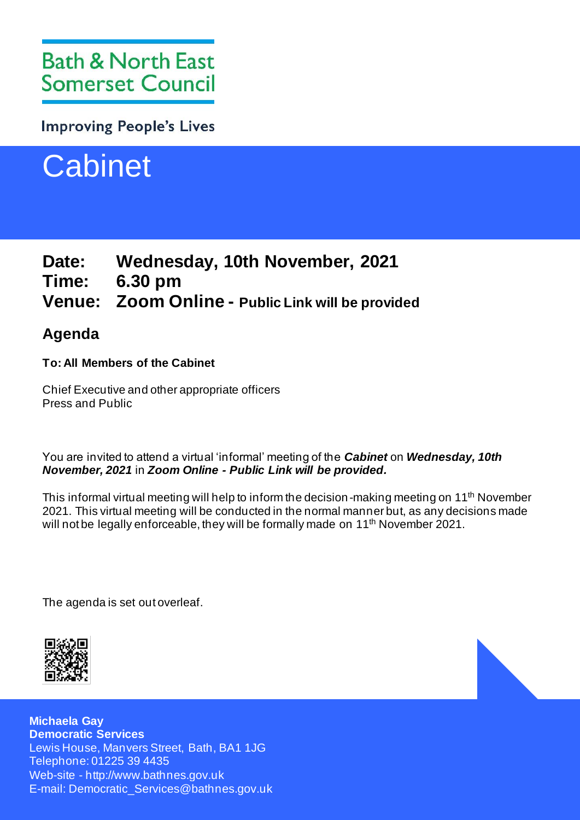# **Bath & North East Somerset Council**

**Improving People's Lives** 



# **Date: Wednesday, 10th November, 2021 Time: 6.30 pm Venue: Zoom Online - Public Link will be provided**

# **Agenda**

# **To: All Members of the Cabinet**

Chief Executive and other appropriate officers Press and Public

You are invited to attend a virtual 'informal' meeting of the *Cabinet* on *Wednesday, 10th November, 2021* in *Zoom Online - Public Link will be provided.*

This informal virtual meeting will help to inform the decision-making meeting on 11<sup>th</sup> November 2021. This virtual meeting will be conducted in the normal manner but, as any decisions made will not be legally enforceable, they will be formally made on 11<sup>th</sup> November 2021.

The agenda is set out overleaf.



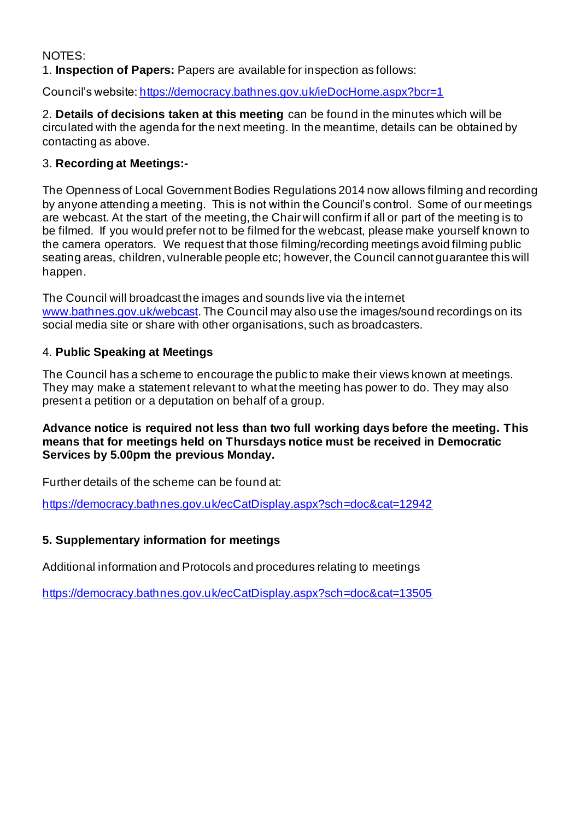# NOTES:

1. **Inspection of Papers:** Papers are available for inspection as follows:

Council's website[: https://democracy.bathnes.gov.uk/ieDocHome.aspx?bcr=1](https://democracy.bathnes.gov.uk/ieDocHome.aspx?bcr=1)

2. **Details of decisions taken at this meeting** can be found in the minutes which will be circulated with the agenda for the next meeting. In the meantime, details can be obtained by contacting as above.

# 3. **Recording at Meetings:-**

The Openness of Local Government Bodies Regulations 2014 now allows filming and recording by anyone attending a meeting. This is not within the Council's control. Some of our meetings are webcast. At the start of the meeting, the Chair will confirm if all or part of the meeting is to be filmed. If you would prefer not to be filmed for the webcast, please make yourself known to the camera operators. We request that those filming/recording meetings avoid filming public seating areas, children, vulnerable people etc; however, the Council cannot guarantee this will happen.

The Council will broadcast the images and sounds live via the internet [www.bathnes.gov.uk/webcast.](http://www.bathnes.gov.uk/webcast) The Council may also use the images/sound recordings on its social media site or share with other organisations, such as broadcasters.

### 4. **Public Speaking at Meetings**

The Council has a scheme to encourage the public to make their views known at meetings. They may make a statement relevant to what the meeting has power to do. They may also present a petition or a deputation on behalf of a group.

# **Advance notice is required not less than two full working days before the meeting. This means that for meetings held on Thursdays notice must be received in Democratic Services by 5.00pm the previous Monday.**

Further details of the scheme can be found at:

<https://democracy.bathnes.gov.uk/ecCatDisplay.aspx?sch=doc&cat=12942>

# **5. Supplementary information for meetings**

Additional information and Protocols and procedures relating to meetings

<https://democracy.bathnes.gov.uk/ecCatDisplay.aspx?sch=doc&cat=13505>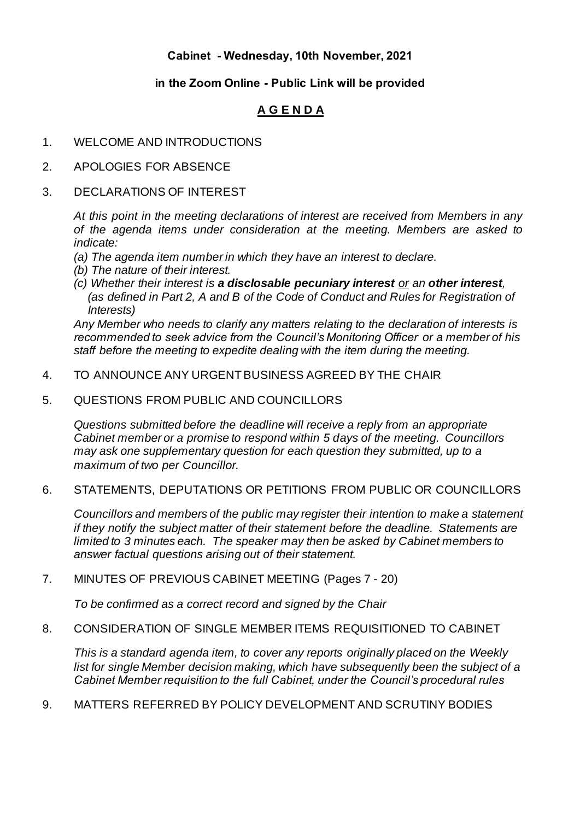# **Cabinet - Wednesday, 10th November, 2021**

# **in the Zoom Online - Public Link will be provided**

# **A G E N D A**

### 1. WELCOME AND INTRODUCTIONS

- 2. APOLOGIES FOR ABSENCE
- 3. DECLARATIONS OF INTEREST

*At this point in the meeting declarations of interest are received from Members in any of the agenda items under consideration at the meeting. Members are asked to indicate:*

- *(a) The agenda item number in which they have an interest to declare.*
- *(b) The nature of their interest.*
- *(c) Whether their interest is a disclosable pecuniary interest or an other interest, (as defined in Part 2, A and B of the Code of Conduct and Rules for Registration of Interests)*

*Any Member who needs to clarify any matters relating to the declaration of interests is recommended to seek advice from the Council's Monitoring Officer or a member of his staff before the meeting to expedite dealing with the item during the meeting.*

- 4. TO ANNOUNCE ANY URGENTBUSINESS AGREED BY THE CHAIR
- 5. QUESTIONS FROM PUBLIC AND COUNCILLORS

*Questions submitted before the deadline will receive a reply from an appropriate Cabinet member or a promise to respond within 5 days of the meeting. Councillors may ask one supplementary question for each question they submitted, up to a maximum of two per Councillor.*

6. STATEMENTS, DEPUTATIONS OR PETITIONS FROM PUBLIC OR COUNCILLORS

*Councillors and members of the public may register their intention to make a statement if they notify the subject matter of their statement before the deadline. Statements are limited to 3 minutes each. The speaker may then be asked by Cabinet members to answer factual questions arising out of their statement.*

#### 7. MINUTES OF PREVIOUS CABINET MEETING (Pages 7 - 20)

*To be confirmed as a correct record and signed by the Chair*

### 8. CONSIDERATION OF SINGLE MEMBER ITEMS REQUISITIONED TO CABINET

*This is a standard agenda item, to cover any reports originally placed on the Weekly list for single Member decision making, which have subsequently been the subject of a Cabinet Member requisition to the full Cabinet, under the Council's procedural rules*

9. MATTERS REFERRED BY POLICY DEVELOPMENT AND SCRUTINY BODIES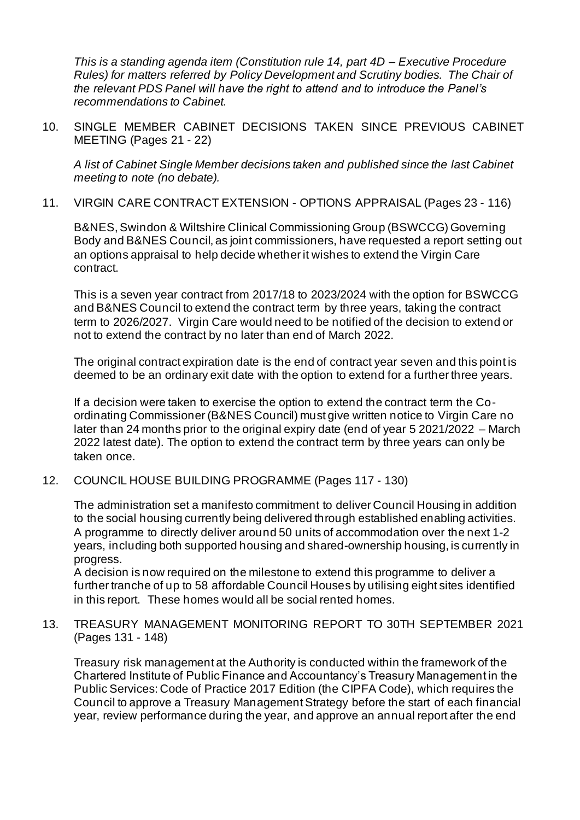*This is a standing agenda item (Constitution rule 14, part 4D – Executive Procedure Rules) for matters referred by Policy Development and Scrutiny bodies. The Chair of the relevant PDS Panel will have the right to attend and to introduce the Panel's recommendations to Cabinet.*

10. SINGLE MEMBER CABINET DECISIONS TAKEN SINCE PREVIOUS CABINET MEETING (Pages 21 - 22)

*A list of Cabinet Single Member decisions taken and published since the last Cabinet meeting to note (no debate).*

11. VIRGIN CARE CONTRACT EXTENSION - OPTIONS APPRAISAL (Pages 23 - 116)

B&NES, Swindon & Wiltshire Clinical Commissioning Group (BSWCCG) Governing Body and B&NES Council, as joint commissioners, have requested a report setting out an options appraisal to help decide whether it wishes to extend the Virgin Care contract.

This is a seven year contract from 2017/18 to 2023/2024 with the option for BSWCCG and B&NES Council to extend the contract term by three years, taking the contract term to 2026/2027. Virgin Care would need to be notified of the decision to extend or not to extend the contract by no later than end of March 2022.

The original contract expiration date is the end of contract year seven and this point is deemed to be an ordinary exit date with the option to extend for a further three years.

If a decision were taken to exercise the option to extend the contract term the Coordinating Commissioner (B&NES Council) must give written notice to Virgin Care no later than 24 months prior to the original expiry date (end of year 5 2021/2022 – March 2022 latest date). The option to extend the contract term by three years can only be taken once.

12. COUNCIL HOUSE BUILDING PROGRAMME (Pages 117 - 130)

The administration set a manifesto commitment to deliver Council Housing in addition to the social housing currently being delivered through established enabling activities. A programme to directly deliver around 50 units of accommodation over the next 1-2 years, including both supported housing and shared-ownership housing, is currently in progress.

A decision is now required on the milestone to extend this programme to deliver a further tranche of up to 58 affordable Council Houses by utilising eight sites identified in this report. These homes would all be social rented homes.

13. TREASURY MANAGEMENT MONITORING REPORT TO 30TH SEPTEMBER 2021 (Pages 131 - 148)

Treasury risk management at the Authority is conducted within the framework of the Chartered Institute of Public Finance and Accountancy's Treasury Management in the Public Services: Code of Practice 2017 Edition (the CIPFA Code), which requires the Council to approve a Treasury Management Strategy before the start of each financial year, review performance during the year, and approve an annual report after the end